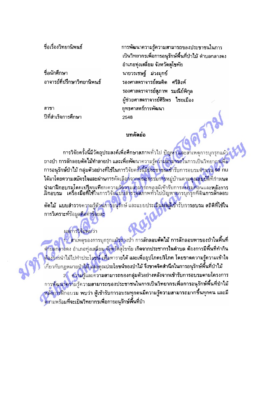ชื่อเรื่องวิทยวนิพนธ์

ชื่อนักศึกษา อาจารย์ที่ปรึกษาวิทยานิพนธ์

ผลการวิจัยพบว่า

สาขา ปีที่สำเร็จการศึกษา การพัฒนาความรู้ความสามารถของประชาชนในการ ้เป็นวิทยากรเพื่อการอนุรักษ์พื้นที่ป่าไม้ ตำบลกลางดง อำเภอทุ่งเสลี่ยม จังหวัดสุโขทัย ี่นายวรเชษฐ์ ม่วงมุกข์ รองศาสตราจารย์สมคิด ศรีสิงห์ รองศาสตราจารย์สภาพ รมณีย์พิกล ผู้ช่วยศาสตราจารย์ศิริพร ใชยเมือง ยุทธศาสตร์การพัฒนา 2548

## บทคัดย่อ

่ การวิจัยครั้งนี้มีวัดถุประสงค์เพื่อศึกษาสภาพทั่วไป ปัญหา และสาเหตุการบุกรุกแผ้ ้ถางป่า ก<mark>ารลักลอบตัดไม้ทำลายป่า และเพื่อพัฒ</mark>นาความรู้ความสามารถในการเป็นวิทยากรเพื่อ - การอนุรักษ์ป่าไม้ กลุ่มตัวอย่างที่ไช้ในการวิจัยครั้งนี้มีประชาชนเข้ารับการอบรมจำนวน 60 nu ได้มาโดยความสมัครใจและผ่านการคัดเลือกจากคณะกรรมการหมู่บ้านตามคุณสมบัติที่ถำหนด ู นำมาฝึกอบรมโดยเปรียบเทียบความรัดวามสามารถของผู้เข้ารับการอบรมก่อนและหลังการ<br>ฝึกอบรม เครื่องมือที่ใช้ในการวิจัยแบบสำรวจสภาพทั่วไปปัญหาการบุกรุกที่ดินการลักลอบ

้ตัดไม้ "แบบสำรวจความรู้ด้านการอนุรักษ์ และแบบประเมินผลผู้เข้ารับการอบรม สถิติที่ใช้ใน การวิเคราะห์ข้อมูล<mark>คือค่าร้อยละ</mark>

ำ... สาเหตุของการบุกรุกแผ้วถางบ้า การลักลอบตัดไม้ การลักลอบหาของป่าในพื้นที่ ดำบลกลางดง อำเภอทุ่งเสลี่ยม จังหวัดสุโขทัย เกิดจากประชากรในตำบล ด้องการมีพื้นที่ทำกิน ้ต้องการนำไม้ไปทำประโยชน์ เพื่อหารายได้ และเพื่ออุปโภคบริโภค โดยขาดความรู้ความเข้าใจ ้เกี่ยวกับกฎหมาย<mark>ป่าไม้ และคุณประโยชน์ของป่าไม้ จึงขาดจิดสำนึกในการอนุรักษ์พื้นที่ป่าไม้</mark> 2. ความรู้และความสามารถของกลุ่มตัวอย่างหลังจากเข้ารับการอบรมตามโครงการ การพัฒนาความรู้ความสามารถของประชาชนในการเป็นวิทยากรเพื่อการอนุรักษ์พื้นที่บำไม้ หลังการฝึกอบรม พบว่า ผู้เข้ารับการอบรมทุกคนมีความรู้ความสามารถมากขึ้นทุกคน และมี ดวามพร้อมที่จะเป็นวิทยากรเพื่อการอนุรักษ์พื้นที่ป่า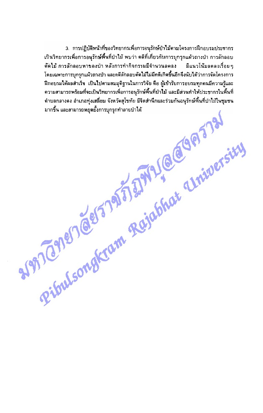3. การปฏิบัติหน้าที่ของวิทยากรเพื่อการอนุรักษ์ป่าไม้ตามโครงการฝึกอบรมประชากร ้เป็นวิทยากรเพื่อการอนุรักษ์พื้นที่ป่าไม้ พบว่า คดีที่เกี่ยวกับการบุกรุกแผ้วถางป่า การลักลอบ ดัดไม้ การลักลอบหาของป่า หลังการทำกิจกรรมมีจำนวนลดลง มีแนวโน้มลดลงเรื่อย ๆ โดยเฉพาะการบุกรุกแผ้วถางป่า และคดีลักลอบตัดไม้ไม่มีคดีเกิดขึ้นอีกจึงนับได้ว่าการจัดโครงการ นี้กอบรมได้ผลสำเร็จ เป็นไปตามสมมุติฐานในการวิจัย คือ ผู้เข้ารับการอบรมทุกคนมีความรู้และ RESIDENCE OF TAX 3 2 AVRI (@GOP) 5781 ้ความสามารถพร้อมที่จะเป็นวิทยากรเพื่อการอนุรักษ์พื้นที่ป่าไม้ และมีส่วนทำให้ประชากรในพื้นที่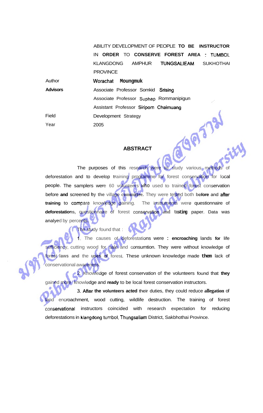ABILITY DEVELOPMENT OF PEOPLE **TO BE INSTRUCTOR**  IN **ORDER** TO **CONSERVE FOREST AREA** : **TUMBOL**  KLANGDONG AMPHUR TUNGSALIEAM SUKHOTHAI **PROVINCE** 

 $181$ 

| Author          | Worachat Moungmuk                       |
|-----------------|-----------------------------------------|
| <b>Advisors</b> | Associate Professor Somkid Srising      |
|                 | Associate Professor Suphap Rommanipigun |
|                 | Assistant Professor Siriporn Chaimuang  |
| Field           | Development Strategy                    |
| Year            | 2005                                    |
|                 |                                         |
|                 |                                         |
|                 | <b>ABSTRACT</b>                         |
|                 |                                         |

Author

## **ABSTRACT**

The purposes of this research were to study various methods of deforestation and to develop training programme for forest conservation for local people. The samplers were 60 volunteers **who** used to trained forest conservation before **and** screened **by the** village **committee.** They were tested both **before** and after **training** to **compare** knowledge gaining. The instruments were questionnaire of **deforestations,** questionnaire of forest conservation **and testing** paper. Data was analyed by percents.

The study found that :

**1.** The causes of deforestations were : **encroaching** lands **for** life sufficiency, cutting wood for sale and consumtion. They were without knowledge of forest **laws and** the **uses of** forest. These unknown knowledge made **them** lack of conservational awareness.

2. Knowledge of forest conservation of the volunteers found that **they**  gained more knowledge and **ready** to be local forest conservation instructors.

**3. After the volunteers acted** their duties, they could reduce **allegation** of land encroachment, wood cutting, wildlife destruction. The training of forest conservational instructors coincided with research expectation for reducing deforestations in klangdong **tumbol,** Thungsaliam District, Sakbhothai Province.